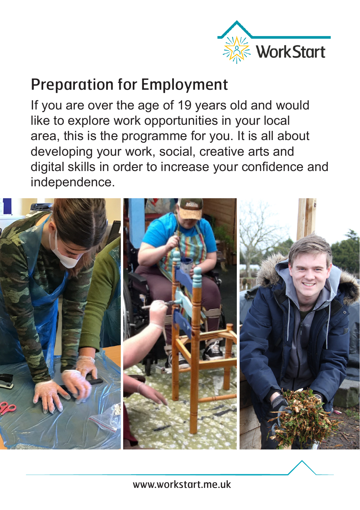

## Preparation for Employment

If you are over the age of 19 years old and would like to explore work opportunities in your local area, this is the programme for you. It is all about developing your work, social, creative arts and digital skills in order to increase your confidence and independence.